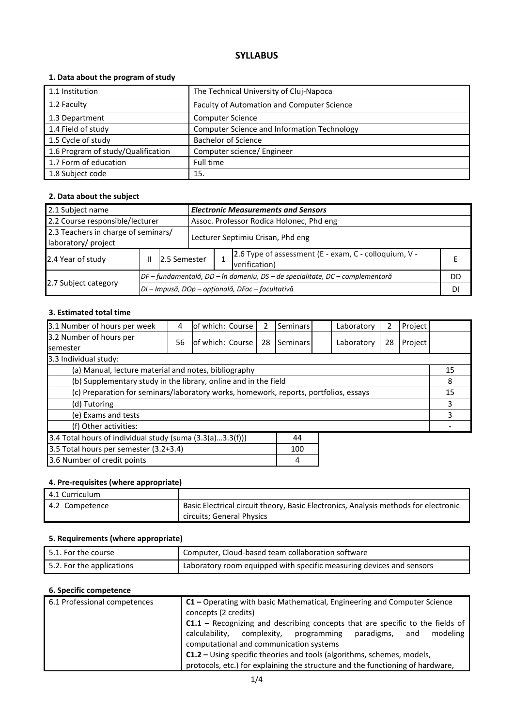# **SYLLABUS**

## **1. Data about the program of study**

| 1.1 Institution                    | The Technical University of Cluj-Napoca     |
|------------------------------------|---------------------------------------------|
| 1.2 Faculty                        | Faculty of Automation and Computer Science  |
| 1.3 Department                     | <b>Computer Science</b>                     |
| 1.4 Field of study                 | Computer Science and Information Technology |
| 1.5 Cycle of study                 | <b>Bachelor of Science</b>                  |
| 1.6 Program of study/Qualification | Computer science/ Engineer                  |
| 1.7 Form of education              | Full time                                   |
| 1.8 Subject code                   | 15.                                         |

## **2. Data about the subject**

| <b>Electronic Measurements and Sensors</b><br>2.1 Subject name |                                   |                                                  |                                                                              |                                                                        |  |    |  |  |
|----------------------------------------------------------------|-----------------------------------|--------------------------------------------------|------------------------------------------------------------------------------|------------------------------------------------------------------------|--|----|--|--|
| 2.2 Course responsible/lecturer                                |                                   |                                                  |                                                                              | Assoc. Professor Rodica Holonec, Phd eng                               |  |    |  |  |
| 2.3 Teachers in charge of seminars/<br>laboratory/ project     | Lecturer Septimiu Crisan, Phd eng |                                                  |                                                                              |                                                                        |  |    |  |  |
| 2.4 Year of study                                              | Ш                                 | 12.5 Semester                                    |                                                                              | 2.6 Type of assessment (E - exam, C - colloquium, V -<br>verification) |  |    |  |  |
|                                                                |                                   |                                                  | DF – fundamentală, DD – în domeniu, DS – de specialitate, DC – complementară |                                                                        |  | DD |  |  |
| 2.7 Subject category                                           |                                   | DI - Impusă, DOp - opțională, DFac - facultativă |                                                                              |                                                                        |  |    |  |  |

#### **3. Estimated total time**

| 3.1 Number of hours per week                                                         | 4  | lof which: Course |  | 2  | Seminars |  | Laboratory | 2  | Project |    |
|--------------------------------------------------------------------------------------|----|-------------------|--|----|----------|--|------------|----|---------|----|
| 3.2 Number of hours per<br><b>semester</b>                                           | 56 | of which: Course  |  | 28 | Seminars |  | Laboratory | 28 | Project |    |
| 3.3 Individual study:                                                                |    |                   |  |    |          |  |            |    |         |    |
| (a) Manual, lecture material and notes, bibliography                                 |    |                   |  |    |          |  |            |    |         | 15 |
| (b) Supplementary study in the library, online and in the field                      |    |                   |  |    |          |  | 8          |    |         |    |
| (c) Preparation for seminars/laboratory works, homework, reports, portfolios, essays |    |                   |  |    |          |  | 15         |    |         |    |
| (d) Tutoring                                                                         |    |                   |  |    |          |  | 3          |    |         |    |
| (e) Exams and tests                                                                  |    |                   |  |    |          |  | 3          |    |         |    |
| (f) Other activities:                                                                |    |                   |  |    |          |  |            |    |         |    |
| 3.4 Total hours of individual study (suma (3.3(a)3.3(f)))<br>44                      |    |                   |  |    |          |  |            |    |         |    |
| 3.5 Total hours per semester (3.2+3.4)<br>100                                        |    |                   |  |    |          |  |            |    |         |    |
| 3.6 Number of credit points<br>4                                                     |    |                   |  |    |          |  |            |    |         |    |

#### **4. Pre-requisites (where appropriate)**

| 4.1 Curriculum |                                                                                     |
|----------------|-------------------------------------------------------------------------------------|
| 4.2 Competence | Basic Electrical circuit theory, Basic Electronics, Analysis methods for electronic |
|                | circuits; General Physics                                                           |

## **5. Requirements (where appropriate)**

| $\mid$ 5.1. For the course | Computer, Cloud-based team collaboration software                    |
|----------------------------|----------------------------------------------------------------------|
| 5.2. For the applications  | Laboratory room equipped with specific measuring devices and sensors |

# **6. Specific competence**

| 6.1 Professional competences | $C1$ – Operating with basic Mathematical, Engineering and Computer Science<br>concepts (2 credits) |  |  |  |  |  |
|------------------------------|----------------------------------------------------------------------------------------------------|--|--|--|--|--|
|                              | $C1.1$ – Recognizing and describing concepts that are specific to the fields of                    |  |  |  |  |  |
|                              | complexity, programming<br>calculability.<br>modeling<br>paradigms,<br>and                         |  |  |  |  |  |
|                              | computational and communication systems                                                            |  |  |  |  |  |
|                              | <b>C1.2</b> – Using specific theories and tools (algorithms, schemes, models,                      |  |  |  |  |  |
|                              | protocols, etc.) for explaining the structure and the functioning of hardware,                     |  |  |  |  |  |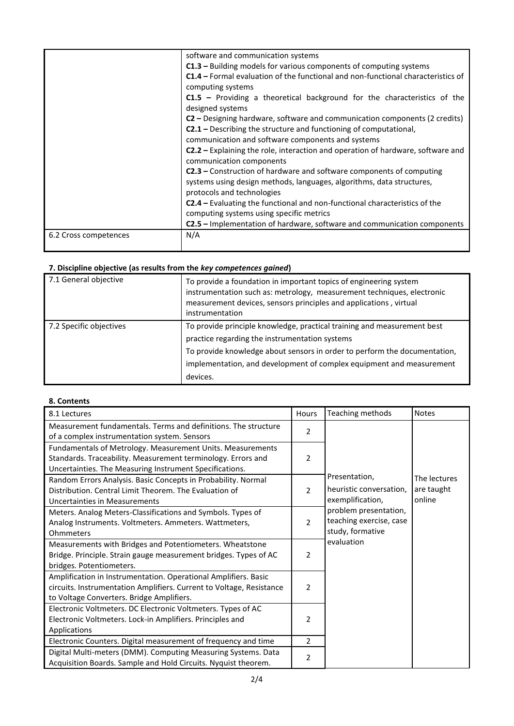|                       | software and communication systems                                                                                                                   |
|-----------------------|------------------------------------------------------------------------------------------------------------------------------------------------------|
|                       | $C1.3$ – Building models for various components of computing systems                                                                                 |
|                       | <b>C1.4</b> – Formal evaluation of the functional and non-functional characteristics of<br>computing systems                                         |
|                       | C1.5 - Providing a theoretical background for the characteristics of the<br>designed systems                                                         |
|                       | C2 – Designing hardware, software and communication components (2 credits)                                                                           |
|                       | <b>C2.1</b> – Describing the structure and functioning of computational,                                                                             |
|                       | communication and software components and systems                                                                                                    |
|                       | <b>C2.2</b> - Explaining the role, interaction and operation of hardware, software and<br>communication components                                   |
|                       | <b>C2.3</b> – Construction of hardware and software components of computing<br>systems using design methods, languages, algorithms, data structures, |
|                       | protocols and technologies                                                                                                                           |
|                       | <b>C2.4</b> – Evaluating the functional and non-functional characteristics of the                                                                    |
|                       | computing systems using specific metrics                                                                                                             |
|                       | <b>C2.5</b> – Implementation of hardware, software and communication components                                                                      |
| 6.2 Cross competences | N/A                                                                                                                                                  |

# **7. Discipline objective (as results from the** *key competences gained***)**

| 7.1 General objective   | To provide a foundation in important topics of engineering system<br>instrumentation such as: metrology, measurement techniques, electronic<br>measurement devices, sensors principles and applications, virtual<br>instrumentation                                                        |
|-------------------------|--------------------------------------------------------------------------------------------------------------------------------------------------------------------------------------------------------------------------------------------------------------------------------------------|
| 7.2 Specific objectives | To provide principle knowledge, practical training and measurement best<br>practice regarding the instrumentation systems<br>To provide knowledge about sensors in order to perform the documentation,<br>implementation, and development of complex equipment and measurement<br>devices. |

# **8. Contents**

| 8.1 Lectures                                                         | Hours          | Teaching methods        | <b>Notes</b> |
|----------------------------------------------------------------------|----------------|-------------------------|--------------|
| Measurement fundamentals. Terms and definitions. The structure       | 2              |                         |              |
| of a complex instrumentation system. Sensors                         |                |                         |              |
| Fundamentals of Metrology. Measurement Units. Measurements           |                |                         |              |
| Standards. Traceability. Measurement terminology. Errors and         | $\overline{2}$ |                         |              |
| Uncertainties. The Measuring Instrument Specifications.              |                |                         |              |
| Random Errors Analysis. Basic Concepts in Probability. Normal        |                | Presentation,           | The lectures |
| Distribution. Central Limit Theorem. The Evaluation of               | $\overline{2}$ | heuristic conversation, | are taught   |
| Uncertainties in Measurements                                        |                | exemplification,        | online       |
| Meters. Analog Meters-Classifications and Symbols. Types of          |                | problem presentation,   |              |
| Analog Instruments. Voltmeters. Ammeters. Wattmeters,                | $\overline{2}$ | teaching exercise, case |              |
| Ohmmeters                                                            |                | study, formative        |              |
| Measurements with Bridges and Potentiometers. Wheatstone             |                | evaluation              |              |
| Bridge. Principle. Strain gauge measurement bridges. Types of AC     | $\overline{2}$ |                         |              |
| bridges. Potentiometers.                                             |                |                         |              |
| Amplification in Instrumentation. Operational Amplifiers. Basic      |                |                         |              |
| circuits. Instrumentation Amplifiers. Current to Voltage, Resistance | 2              |                         |              |
| to Voltage Converters. Bridge Amplifiers.                            |                |                         |              |
| Electronic Voltmeters. DC Electronic Voltmeters. Types of AC         |                |                         |              |
| Electronic Voltmeters. Lock-in Amplifiers. Principles and            | $\overline{2}$ |                         |              |
| Applications                                                         |                |                         |              |
| Electronic Counters. Digital measurement of frequency and time       | $\overline{2}$ |                         |              |
| Digital Multi-meters (DMM). Computing Measuring Systems. Data        |                |                         |              |
| Acquisition Boards. Sample and Hold Circuits. Nyquist theorem.       | $\overline{2}$ |                         |              |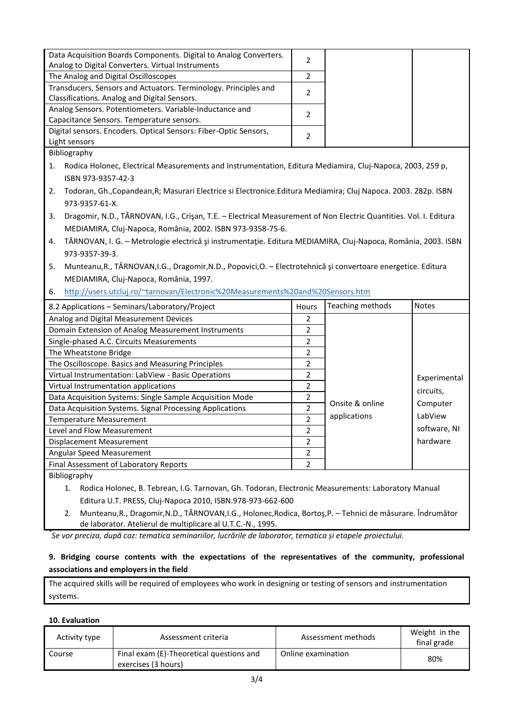| Data Acquisition Boards Components. Digital to Analog Converters.<br>Analog to Digital Converters. Virtual Instruments  | $\overline{2}$ |                  |              |  |  |  |
|-------------------------------------------------------------------------------------------------------------------------|----------------|------------------|--------------|--|--|--|
| The Analog and Digital Oscilloscopes                                                                                    | $\overline{2}$ |                  |              |  |  |  |
| Transducers, Sensors and Actuators. Terminology. Principles and                                                         | $\overline{2}$ |                  |              |  |  |  |
| Classifications. Analog and Digital Sensors.                                                                            |                |                  |              |  |  |  |
| Analog Sensors. Potentiometers. Variable-Inductance and                                                                 | $\overline{2}$ |                  |              |  |  |  |
| Capacitance Sensors. Temperature sensors.                                                                               |                |                  |              |  |  |  |
| Digital sensors. Encoders. Optical Sensors: Fiber-Optic Sensors,                                                        | $\overline{2}$ |                  |              |  |  |  |
| Light sensors                                                                                                           |                |                  |              |  |  |  |
| Bibliography                                                                                                            |                |                  |              |  |  |  |
| Rodica Holonec, Electrical Measurements and Instrumentation, Editura Mediamira, Cluj-Napoca, 2003, 259 p,<br>1.         |                |                  |              |  |  |  |
| ISBN 973-9357-42-3                                                                                                      |                |                  |              |  |  |  |
| Todoran, Gh., Copandean, R; Masurari Electrice si Electronice. Editura Mediamira; Cluj Napoca. 2003. 282p. ISBN<br>2.   |                |                  |              |  |  |  |
| 973-9357-61-X.                                                                                                          |                |                  |              |  |  |  |
| Dragomir, N.D., TÂRNOVAN, I.G., Crișan, T.E. - Electrical Measurement of Non Electric Quantities. Vol. I. Editura<br>3. |                |                  |              |  |  |  |
| MEDIAMIRA, Cluj-Napoca, România, 2002. ISBN 973-9358-75-6.                                                              |                |                  |              |  |  |  |
| TÂRNOVAN, I. G. - Metrologie electrică și instrumentație. Editura MEDIAMIRA, Cluj-Napoca, România, 2003. ISBN<br>4.     |                |                  |              |  |  |  |
|                                                                                                                         |                |                  |              |  |  |  |
| 973-9357-39-3.                                                                                                          |                |                  |              |  |  |  |
| Munteanu, R., TÂRNOVAN, I.G., Dragomir, N.D., Popovici, O. - Electrotehnică și convertoare energetice. Editura<br>5.    |                |                  |              |  |  |  |
|                                                                                                                         |                |                  |              |  |  |  |
| MEDIAMIRA, Cluj-Napoca, România, 1997.                                                                                  |                |                  |              |  |  |  |
| http://users.utcluj.ro/~tarnovan/Electronic%20Measurements%20and%20Sensors.htm<br>6.                                    |                |                  |              |  |  |  |
| 8.2 Applications - Seminars/Laboratory/Project                                                                          | Hours          | Teaching methods | <b>Notes</b> |  |  |  |
| Analog and Digital Measurement Devices                                                                                  | $\overline{2}$ |                  |              |  |  |  |
| Domain Extension of Analog Measurement Instruments                                                                      | $\overline{2}$ |                  |              |  |  |  |
| Single-phased A.C. Circuits Measurements                                                                                | $\overline{2}$ |                  |              |  |  |  |
| The Wheatstone Bridge                                                                                                   | $\overline{2}$ |                  |              |  |  |  |
| The Oscilloscope. Basics and Measuring Principles                                                                       | $\overline{2}$ |                  |              |  |  |  |
| Virtual Instrumentation: LabView - Basic Operations                                                                     | $\overline{2}$ |                  |              |  |  |  |
| Virtual Instrumentation applications                                                                                    | $\overline{2}$ |                  | Experimental |  |  |  |
| Data Acquisition Systems: Single Sample Acquisition Mode                                                                | $\overline{2}$ |                  | circuits,    |  |  |  |
| Data Acquisition Systems. Signal Processing Applications                                                                | $\overline{2}$ | Onsite & online  | Computer     |  |  |  |
| <b>Temperature Measurement</b>                                                                                          | $\overline{2}$ | applications     | LabView      |  |  |  |
| Level and Flow Measurement                                                                                              | $\overline{2}$ |                  | software, NI |  |  |  |
| <b>Displacement Measurement</b>                                                                                         | $\overline{2}$ |                  | hardware     |  |  |  |
| Angular Speed Measurement                                                                                               | $\overline{2}$ |                  |              |  |  |  |
| Final Assessment of Laboratory Reports<br>Bibliography                                                                  | $\overline{2}$ |                  |              |  |  |  |

1. Rodica Holonec, B. Tebrean, I.G. Tarnovan, Gh. Todoran, Electronic Measurements: Laboratory Manual Editura U.T. PRESS, Cluj-Napoca 2010, ISBN.978-973-662-600

2. Munteanu,R., Dragomir,N.D., TÂRNOVAN,I.G., Holonec,Rodica, Bortoş,P. – Tehnici de măsurare. Îndrumător de laborator. Atelierul de multiplicare al U.T.C.-N., 1995.

*\* Se vor preciza, după caz: tematica seminariilor, lucrările de laborator, tematica și etapele proiectului.*

## **9. Bridging course contents with the expectations of the representatives of the community, professional associations and employers in the field**

The acquired skills will be required of employees who work in designing or testing of sensors and instrumentation systems.

#### **10. Evaluation**

| Activity type | Assessment criteria                                             | Assessment methods | Weight in the<br>final grade |
|---------------|-----------------------------------------------------------------|--------------------|------------------------------|
| Course        | Final exam (E)-Theoretical questions and<br>exercises (3 hours) | Online examination | 80%                          |